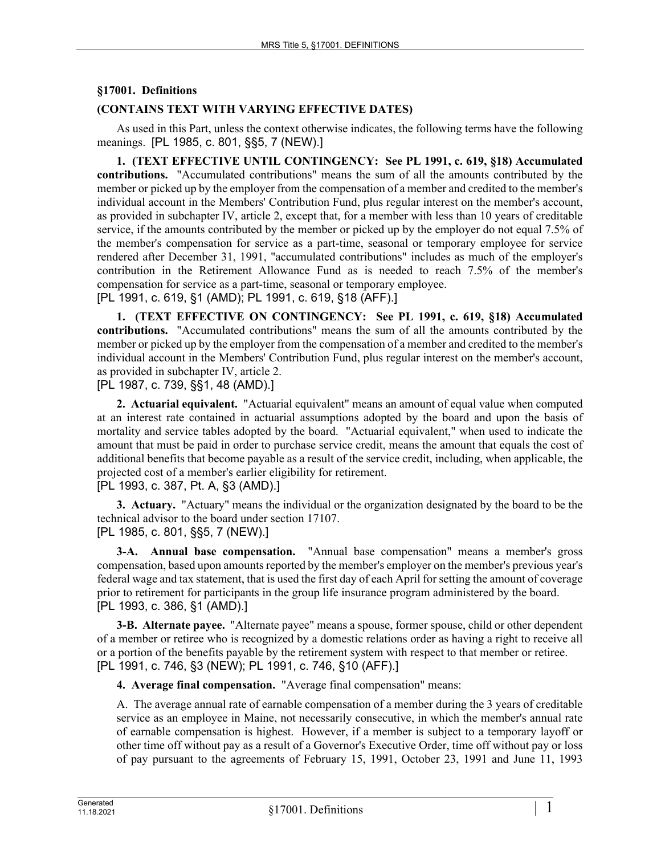## **§17001. Definitions**

## **(CONTAINS TEXT WITH VARYING EFFECTIVE DATES)**

As used in this Part, unless the context otherwise indicates, the following terms have the following meanings. [PL 1985, c. 801, §§5, 7 (NEW).]

**1. (TEXT EFFECTIVE UNTIL CONTINGENCY: See PL 1991, c. 619, §18) Accumulated contributions.** "Accumulated contributions" means the sum of all the amounts contributed by the member or picked up by the employer from the compensation of a member and credited to the member's individual account in the Members' Contribution Fund, plus regular interest on the member's account, as provided in subchapter IV, article 2, except that, for a member with less than 10 years of creditable service, if the amounts contributed by the member or picked up by the employer do not equal 7.5% of the member's compensation for service as a part-time, seasonal or temporary employee for service rendered after December 31, 1991, "accumulated contributions" includes as much of the employer's contribution in the Retirement Allowance Fund as is needed to reach 7.5% of the member's compensation for service as a part-time, seasonal or temporary employee. [PL 1991, c. 619, §1 (AMD); PL 1991, c. 619, §18 (AFF).]

**1. (TEXT EFFECTIVE ON CONTINGENCY: See PL 1991, c. 619, §18) Accumulated contributions.** "Accumulated contributions" means the sum of all the amounts contributed by the member or picked up by the employer from the compensation of a member and credited to the member's individual account in the Members' Contribution Fund, plus regular interest on the member's account, as provided in subchapter IV, article 2.

[PL 1987, c. 739, §§1, 48 (AMD).]

**2. Actuarial equivalent.** "Actuarial equivalent" means an amount of equal value when computed at an interest rate contained in actuarial assumptions adopted by the board and upon the basis of mortality and service tables adopted by the board. "Actuarial equivalent," when used to indicate the amount that must be paid in order to purchase service credit, means the amount that equals the cost of additional benefits that become payable as a result of the service credit, including, when applicable, the projected cost of a member's earlier eligibility for retirement.

[PL 1993, c. 387, Pt. A, §3 (AMD).]

**3. Actuary.** "Actuary" means the individual or the organization designated by the board to be the technical advisor to the board under section 17107. [PL 1985, c. 801, §§5, 7 (NEW).]

**3-A. Annual base compensation.** "Annual base compensation" means a member's gross compensation, based upon amounts reported by the member's employer on the member's previous year's federal wage and tax statement, that is used the first day of each April for setting the amount of coverage prior to retirement for participants in the group life insurance program administered by the board. [PL 1993, c. 386, §1 (AMD).]

**3-B. Alternate payee.** "Alternate payee" means a spouse, former spouse, child or other dependent of a member or retiree who is recognized by a domestic relations order as having a right to receive all or a portion of the benefits payable by the retirement system with respect to that member or retiree. [PL 1991, c. 746, §3 (NEW); PL 1991, c. 746, §10 (AFF).]

**4. Average final compensation.** "Average final compensation" means:

A. The average annual rate of earnable compensation of a member during the 3 years of creditable service as an employee in Maine, not necessarily consecutive, in which the member's annual rate of earnable compensation is highest. However, if a member is subject to a temporary layoff or other time off without pay as a result of a Governor's Executive Order, time off without pay or loss of pay pursuant to the agreements of February 15, 1991, October 23, 1991 and June 11, 1993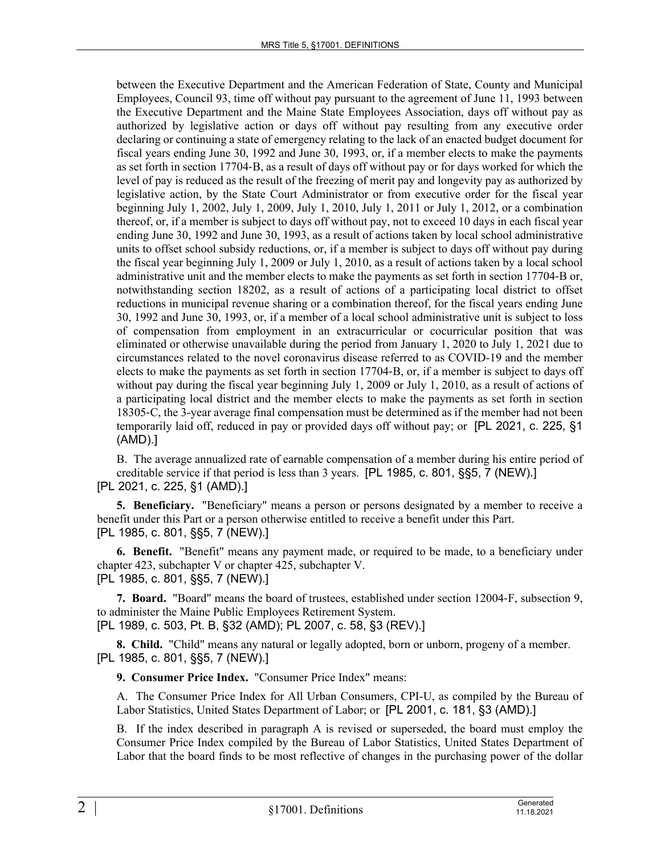between the Executive Department and the American Federation of State, County and Municipal Employees, Council 93, time off without pay pursuant to the agreement of June 11, 1993 between the Executive Department and the Maine State Employees Association, days off without pay as authorized by legislative action or days off without pay resulting from any executive order declaring or continuing a state of emergency relating to the lack of an enacted budget document for fiscal years ending June 30, 1992 and June 30, 1993, or, if a member elects to make the payments as set forth in section 17704‑B, as a result of days off without pay or for days worked for which the level of pay is reduced as the result of the freezing of merit pay and longevity pay as authorized by legislative action, by the State Court Administrator or from executive order for the fiscal year beginning July 1, 2002, July 1, 2009, July 1, 2010, July 1, 2011 or July 1, 2012, or a combination thereof, or, if a member is subject to days off without pay, not to exceed 10 days in each fiscal year ending June 30, 1992 and June 30, 1993, as a result of actions taken by local school administrative units to offset school subsidy reductions, or, if a member is subject to days off without pay during the fiscal year beginning July 1, 2009 or July 1, 2010, as a result of actions taken by a local school administrative unit and the member elects to make the payments as set forth in section 17704‑B or, notwithstanding section 18202, as a result of actions of a participating local district to offset reductions in municipal revenue sharing or a combination thereof, for the fiscal years ending June 30, 1992 and June 30, 1993, or, if a member of a local school administrative unit is subject to loss of compensation from employment in an extracurricular or cocurricular position that was eliminated or otherwise unavailable during the period from January 1, 2020 to July 1, 2021 due to circumstances related to the novel coronavirus disease referred to as COVID-19 and the member elects to make the payments as set forth in section 17704‑B, or, if a member is subject to days off without pay during the fiscal year beginning July 1, 2009 or July 1, 2010, as a result of actions of a participating local district and the member elects to make the payments as set forth in section 18305‑C, the 3-year average final compensation must be determined as if the member had not been temporarily laid off, reduced in pay or provided days off without pay; or [PL 2021, c. 225, §1 (AMD).]

B. The average annualized rate of earnable compensation of a member during his entire period of creditable service if that period is less than 3 years. [PL 1985, c. 801, §§5, 7 (NEW).] [PL 2021, c. 225, §1 (AMD).]

**5. Beneficiary.** "Beneficiary" means a person or persons designated by a member to receive a benefit under this Part or a person otherwise entitled to receive a benefit under this Part. [PL 1985, c. 801, §§5, 7 (NEW).]

**6. Benefit.** "Benefit" means any payment made, or required to be made, to a beneficiary under chapter 423, subchapter V or chapter 425, subchapter V. [PL 1985, c. 801, §§5, 7 (NEW).]

**7. Board.** "Board" means the board of trustees, established under section 12004‑F, subsection 9, to administer the Maine Public Employees Retirement System. [PL 1989, c. 503, Pt. B, §32 (AMD); PL 2007, c. 58, §3 (REV).]

**8. Child.** "Child" means any natural or legally adopted, born or unborn, progeny of a member. [PL 1985, c. 801, §§5, 7 (NEW).]

**9. Consumer Price Index.** "Consumer Price Index" means:

A. The Consumer Price Index for All Urban Consumers, CPI-U, as compiled by the Bureau of Labor Statistics, United States Department of Labor; or [PL 2001, c. 181, §3 (AMD).]

B. If the index described in paragraph A is revised or superseded, the board must employ the Consumer Price Index compiled by the Bureau of Labor Statistics, United States Department of Labor that the board finds to be most reflective of changes in the purchasing power of the dollar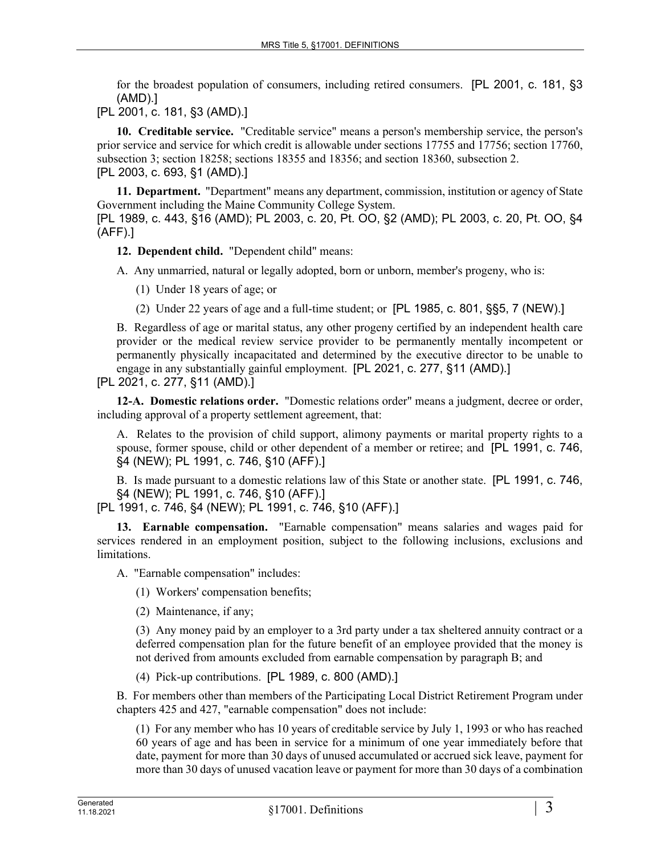for the broadest population of consumers, including retired consumers. [PL 2001, c. 181, §3 (AMD).]

[PL 2001, c. 181, §3 (AMD).]

**10. Creditable service.** "Creditable service" means a person's membership service, the person's prior service and service for which credit is allowable under sections 17755 and 17756; section 17760, subsection 3; section 18258; sections 18355 and 18356; and section 18360, subsection 2. [PL 2003, c. 693, §1 (AMD).]

**11. Department.** "Department" means any department, commission, institution or agency of State Government including the Maine Community College System.

[PL 1989, c. 443, §16 (AMD); PL 2003, c. 20, Pt. OO, §2 (AMD); PL 2003, c. 20, Pt. OO, §4 (AFF).]

**12. Dependent child.** "Dependent child" means:

A. Any unmarried, natural or legally adopted, born or unborn, member's progeny, who is:

(1) Under 18 years of age; or

(2) Under 22 years of age and a full-time student; or [PL 1985, c. 801, §§5, 7 (NEW).]

B. Regardless of age or marital status, any other progeny certified by an independent health care provider or the medical review service provider to be permanently mentally incompetent or permanently physically incapacitated and determined by the executive director to be unable to engage in any substantially gainful employment. [PL 2021, c. 277, §11 (AMD).]

[PL 2021, c. 277, §11 (AMD).]

**12-A. Domestic relations order.** "Domestic relations order" means a judgment, decree or order, including approval of a property settlement agreement, that:

A. Relates to the provision of child support, alimony payments or marital property rights to a spouse, former spouse, child or other dependent of a member or retiree; and [PL 1991, c. 746, §4 (NEW); PL 1991, c. 746, §10 (AFF).]

B. Is made pursuant to a domestic relations law of this State or another state. [PL 1991, c. 746, §4 (NEW); PL 1991, c. 746, §10 (AFF).]

[PL 1991, c. 746, §4 (NEW); PL 1991, c. 746, §10 (AFF).]

**13. Earnable compensation.** "Earnable compensation" means salaries and wages paid for services rendered in an employment position, subject to the following inclusions, exclusions and limitations.

A. "Earnable compensation" includes:

(1) Workers' compensation benefits;

(2) Maintenance, if any;

(3) Any money paid by an employer to a 3rd party under a tax sheltered annuity contract or a deferred compensation plan for the future benefit of an employee provided that the money is not derived from amounts excluded from earnable compensation by paragraph B; and

(4) Pick-up contributions. [PL 1989, c. 800 (AMD).]

B. For members other than members of the Participating Local District Retirement Program under chapters 425 and 427, "earnable compensation" does not include:

(1) For any member who has 10 years of creditable service by July 1, 1993 or who has reached 60 years of age and has been in service for a minimum of one year immediately before that date, payment for more than 30 days of unused accumulated or accrued sick leave, payment for more than 30 days of unused vacation leave or payment for more than 30 days of a combination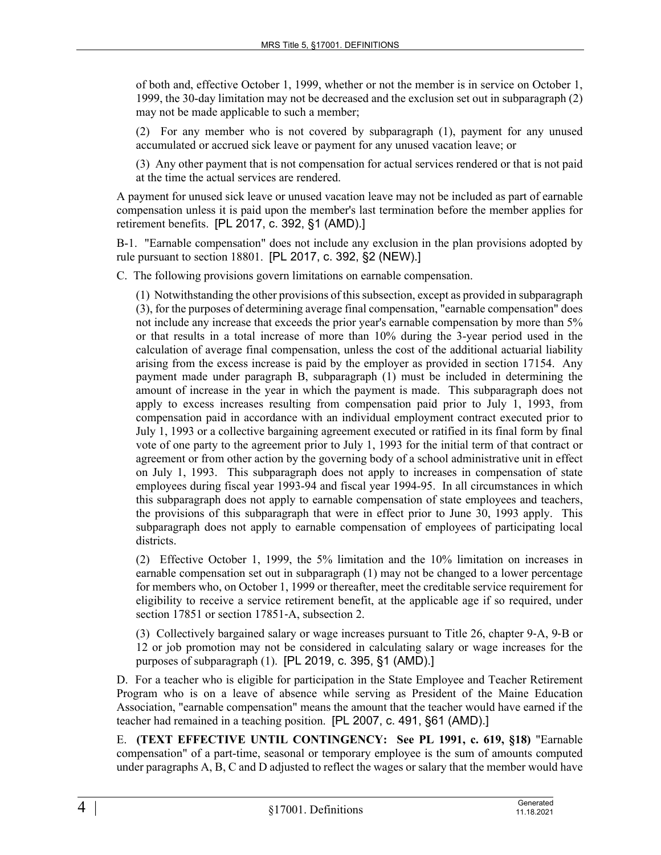of both and, effective October 1, 1999, whether or not the member is in service on October 1, 1999, the 30-day limitation may not be decreased and the exclusion set out in subparagraph (2) may not be made applicable to such a member;

(2) For any member who is not covered by subparagraph (1), payment for any unused accumulated or accrued sick leave or payment for any unused vacation leave; or

(3) Any other payment that is not compensation for actual services rendered or that is not paid at the time the actual services are rendered.

A payment for unused sick leave or unused vacation leave may not be included as part of earnable compensation unless it is paid upon the member's last termination before the member applies for retirement benefits. [PL 2017, c. 392, §1 (AMD).]

B-1. "Earnable compensation" does not include any exclusion in the plan provisions adopted by rule pursuant to section 18801. [PL 2017, c. 392, §2 (NEW).]

C. The following provisions govern limitations on earnable compensation.

(1) Notwithstanding the other provisions of this subsection, except as provided in subparagraph (3), for the purposes of determining average final compensation, "earnable compensation" does not include any increase that exceeds the prior year's earnable compensation by more than 5% or that results in a total increase of more than 10% during the 3-year period used in the calculation of average final compensation, unless the cost of the additional actuarial liability arising from the excess increase is paid by the employer as provided in section 17154. Any payment made under paragraph B, subparagraph (1) must be included in determining the amount of increase in the year in which the payment is made. This subparagraph does not apply to excess increases resulting from compensation paid prior to July 1, 1993, from compensation paid in accordance with an individual employment contract executed prior to July 1, 1993 or a collective bargaining agreement executed or ratified in its final form by final vote of one party to the agreement prior to July 1, 1993 for the initial term of that contract or agreement or from other action by the governing body of a school administrative unit in effect on July 1, 1993. This subparagraph does not apply to increases in compensation of state employees during fiscal year 1993-94 and fiscal year 1994-95. In all circumstances in which this subparagraph does not apply to earnable compensation of state employees and teachers, the provisions of this subparagraph that were in effect prior to June 30, 1993 apply. This subparagraph does not apply to earnable compensation of employees of participating local districts.

(2) Effective October 1, 1999, the 5% limitation and the 10% limitation on increases in earnable compensation set out in subparagraph (1) may not be changed to a lower percentage for members who, on October 1, 1999 or thereafter, meet the creditable service requirement for eligibility to receive a service retirement benefit, at the applicable age if so required, under section 17851 or section 17851–A, subsection 2.

(3) Collectively bargained salary or wage increases pursuant to Title 26, chapter 9‑A, 9‑B or 12 or job promotion may not be considered in calculating salary or wage increases for the purposes of subparagraph (1). [PL 2019, c. 395, §1 (AMD).]

D. For a teacher who is eligible for participation in the State Employee and Teacher Retirement Program who is on a leave of absence while serving as President of the Maine Education Association, "earnable compensation" means the amount that the teacher would have earned if the teacher had remained in a teaching position. [PL 2007, c. 491, §61 (AMD).]

E. **(TEXT EFFECTIVE UNTIL CONTINGENCY: See PL 1991, c. 619, §18)** "Earnable compensation" of a part-time, seasonal or temporary employee is the sum of amounts computed under paragraphs A, B, C and D adjusted to reflect the wages or salary that the member would have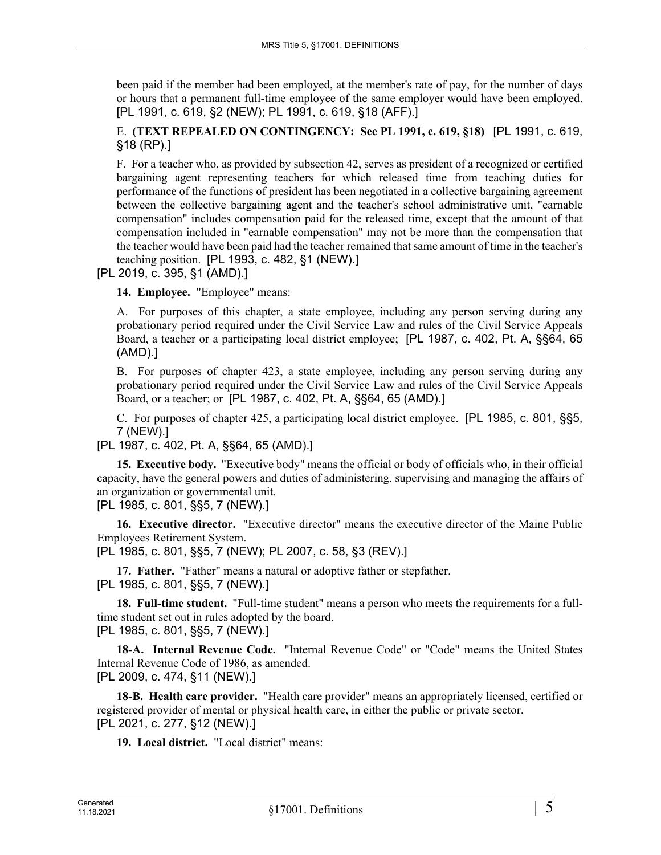been paid if the member had been employed, at the member's rate of pay, for the number of days or hours that a permanent full-time employee of the same employer would have been employed. [PL 1991, c. 619, §2 (NEW); PL 1991, c. 619, §18 (AFF).]

E. **(TEXT REPEALED ON CONTINGENCY: See PL 1991, c. 619, §18)** [PL 1991, c. 619, §18 (RP).]

F. For a teacher who, as provided by subsection 42, serves as president of a recognized or certified bargaining agent representing teachers for which released time from teaching duties for performance of the functions of president has been negotiated in a collective bargaining agreement between the collective bargaining agent and the teacher's school administrative unit, "earnable compensation" includes compensation paid for the released time, except that the amount of that compensation included in "earnable compensation" may not be more than the compensation that the teacher would have been paid had the teacher remained that same amount of time in the teacher's teaching position. [PL 1993, c. 482, §1 (NEW).]

[PL 2019, c. 395, §1 (AMD).]

**14. Employee.** "Employee" means:

A. For purposes of this chapter, a state employee, including any person serving during any probationary period required under the Civil Service Law and rules of the Civil Service Appeals Board, a teacher or a participating local district employee; [PL 1987, c. 402, Pt. A, §§64, 65 (AMD).]

B. For purposes of chapter 423, a state employee, including any person serving during any probationary period required under the Civil Service Law and rules of the Civil Service Appeals Board, or a teacher; or [PL 1987, c. 402, Pt. A, §§64, 65 (AMD).]

C. For purposes of chapter 425, a participating local district employee. [PL 1985, c. 801, §§5, 7 (NEW).]

[PL 1987, c. 402, Pt. A, §§64, 65 (AMD).]

**15. Executive body.** "Executive body" means the official or body of officials who, in their official capacity, have the general powers and duties of administering, supervising and managing the affairs of an organization or governmental unit.

[PL 1985, c. 801, §§5, 7 (NEW).]

**16. Executive director.** "Executive director" means the executive director of the Maine Public Employees Retirement System.

[PL 1985, c. 801, §§5, 7 (NEW); PL 2007, c. 58, §3 (REV).]

17. Father. "Father" means a natural or adoptive father or stepfather. [PL 1985, c. 801, §§5, 7 (NEW).]

**18. Full-time student.** "Full-time student" means a person who meets the requirements for a fulltime student set out in rules adopted by the board. [PL 1985, c. 801, §§5, 7 (NEW).]

**18-A. Internal Revenue Code.** "Internal Revenue Code" or "Code" means the United States Internal Revenue Code of 1986, as amended. [PL 2009, c. 474, §11 (NEW).]

**18-B. Health care provider.** "Health care provider" means an appropriately licensed, certified or registered provider of mental or physical health care, in either the public or private sector. [PL 2021, c. 277, §12 (NEW).]

**19. Local district.** "Local district" means: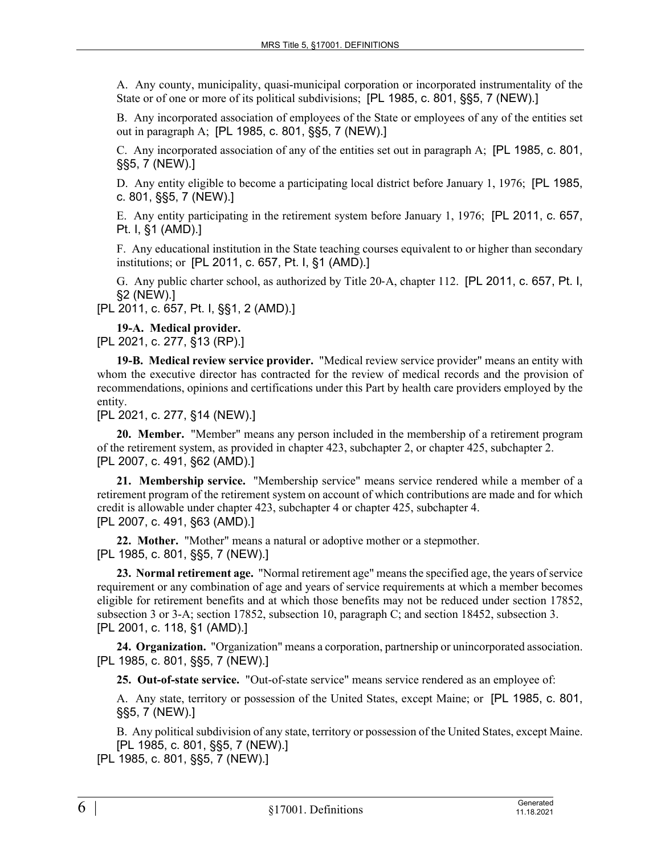A. Any county, municipality, quasi-municipal corporation or incorporated instrumentality of the State or of one or more of its political subdivisions; [PL 1985, c. 801, §§5, 7 (NEW).]

B. Any incorporated association of employees of the State or employees of any of the entities set out in paragraph A; [PL 1985, c. 801, §§5, 7 (NEW).]

C. Any incorporated association of any of the entities set out in paragraph A; [PL 1985, c. 801, §§5, 7 (NEW).]

D. Any entity eligible to become a participating local district before January 1, 1976; [PL 1985, c. 801, §§5, 7 (NEW).]

E. Any entity participating in the retirement system before January 1, 1976; [PL 2011, c. 657, Pt. I, §1 (AMD).]

F. Any educational institution in the State teaching courses equivalent to or higher than secondary institutions; or [PL 2011, c. 657, Pt. I, §1 (AMD).]

G. Any public charter school, as authorized by Title 20‑A, chapter 112. [PL 2011, c. 657, Pt. I, §2 (NEW).]

[PL 2011, c. 657, Pt. I, §§1, 2 (AMD).]

**19-A. Medical provider.** 

[PL 2021, c. 277, §13 (RP).]

**19-B. Medical review service provider.** "Medical review service provider" means an entity with whom the executive director has contracted for the review of medical records and the provision of recommendations, opinions and certifications under this Part by health care providers employed by the entity.

[PL 2021, c. 277, §14 (NEW).]

**20. Member.** "Member" means any person included in the membership of a retirement program of the retirement system, as provided in chapter 423, subchapter 2, or chapter 425, subchapter 2. [PL 2007, c. 491, §62 (AMD).]

**21. Membership service.** "Membership service" means service rendered while a member of a retirement program of the retirement system on account of which contributions are made and for which credit is allowable under chapter 423, subchapter 4 or chapter 425, subchapter 4. [PL 2007, c. 491, §63 (AMD).]

**22. Mother.** "Mother" means a natural or adoptive mother or a stepmother. [PL 1985, c. 801, §§5, 7 (NEW).]

**23. Normal retirement age.** "Normal retirement age" means the specified age, the years of service requirement or any combination of age and years of service requirements at which a member becomes eligible for retirement benefits and at which those benefits may not be reduced under section 17852, subsection 3 or 3-A; section 17852, subsection 10, paragraph C; and section 18452, subsection 3. [PL 2001, c. 118, §1 (AMD).]

**24. Organization.** "Organization" means a corporation, partnership or unincorporated association. [PL 1985, c. 801, §§5, 7 (NEW).]

**25. Out-of-state service.** "Out-of-state service" means service rendered as an employee of:

A. Any state, territory or possession of the United States, except Maine; or [PL 1985, c. 801, §§5, 7 (NEW).]

B. Any political subdivision of any state, territory or possession of the United States, except Maine. [PL 1985, c. 801, §§5, 7 (NEW).]

[PL 1985, c. 801, §§5, 7 (NEW).]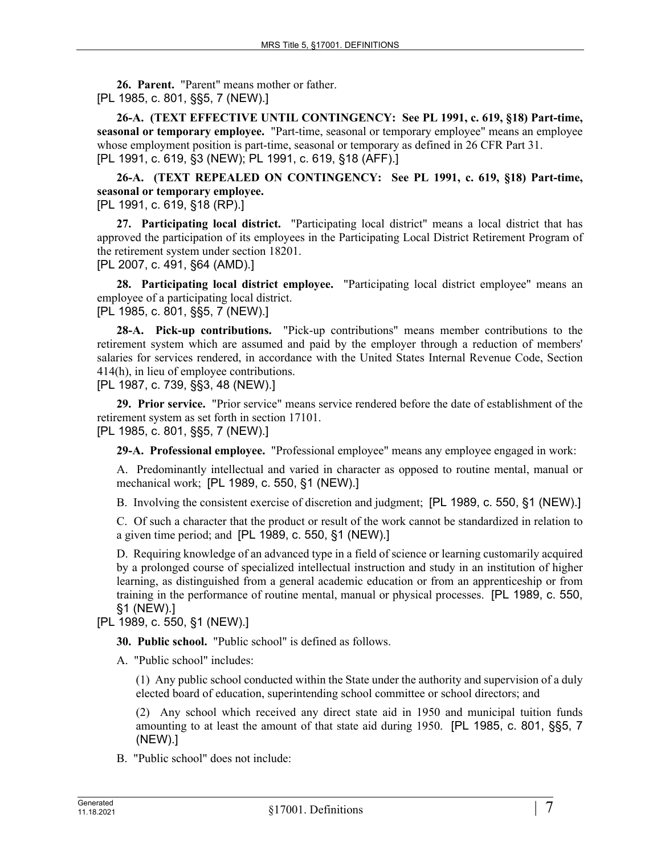**26. Parent.** "Parent" means mother or father. [PL 1985, c. 801, §§5, 7 (NEW).]

**26-A. (TEXT EFFECTIVE UNTIL CONTINGENCY: See PL 1991, c. 619, §18) Part-time, seasonal or temporary employee.** "Part-time, seasonal or temporary employee" means an employee whose employment position is part-time, seasonal or temporary as defined in 26 CFR Part 31. [PL 1991, c. 619, §3 (NEW); PL 1991, c. 619, §18 (AFF).]

**26-A. (TEXT REPEALED ON CONTINGENCY: See PL 1991, c. 619, §18) Part-time, seasonal or temporary employee.**  [PL 1991, c. 619, §18 (RP).]

**27. Participating local district.** "Participating local district" means a local district that has approved the participation of its employees in the Participating Local District Retirement Program of the retirement system under section 18201.

[PL 2007, c. 491, §64 (AMD).]

**28. Participating local district employee.** "Participating local district employee" means an employee of a participating local district.

[PL 1985, c. 801, §§5, 7 (NEW).]

**28-A. Pick-up contributions.** "Pick-up contributions" means member contributions to the retirement system which are assumed and paid by the employer through a reduction of members' salaries for services rendered, in accordance with the United States Internal Revenue Code, Section 414(h), in lieu of employee contributions.

[PL 1987, c. 739, §§3, 48 (NEW).]

**29. Prior service.** "Prior service" means service rendered before the date of establishment of the retirement system as set forth in section 17101.

[PL 1985, c. 801, §§5, 7 (NEW).]

**29-A. Professional employee.** "Professional employee" means any employee engaged in work:

A. Predominantly intellectual and varied in character as opposed to routine mental, manual or mechanical work; [PL 1989, c. 550, §1 (NEW).]

B. Involving the consistent exercise of discretion and judgment; [PL 1989, c. 550, §1 (NEW).]

C. Of such a character that the product or result of the work cannot be standardized in relation to a given time period; and [PL 1989, c. 550, §1 (NEW).]

D. Requiring knowledge of an advanced type in a field of science or learning customarily acquired by a prolonged course of specialized intellectual instruction and study in an institution of higher learning, as distinguished from a general academic education or from an apprenticeship or from training in the performance of routine mental, manual or physical processes. [PL 1989, c. 550, §1 (NEW).]

[PL 1989, c. 550, §1 (NEW).]

**30. Public school.** "Public school" is defined as follows.

A. "Public school" includes:

(1) Any public school conducted within the State under the authority and supervision of a duly elected board of education, superintending school committee or school directors; and

(2) Any school which received any direct state aid in 1950 and municipal tuition funds amounting to at least the amount of that state aid during 1950. [PL 1985, c. 801, §§5, 7 (NEW).]

B. "Public school" does not include: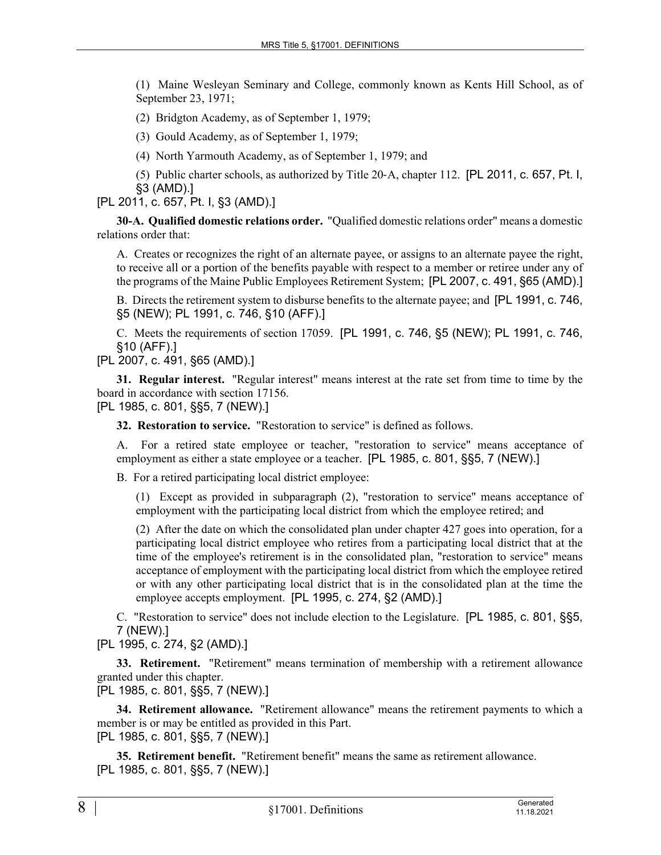(1) Maine Wesleyan Seminary and College, commonly known as Kents Hill School, as of September 23, 1971;

(2) Bridgton Academy, as of September 1, 1979;

(3) Gould Academy, as of September 1, 1979;

(4) North Yarmouth Academy, as of September 1, 1979; and

(5) Public charter schools, as authorized by Title 20‑A, chapter 112. [PL 2011, c. 657, Pt. I, §3 (AMD).]

[PL 2011, c. 657, Pt. I, §3 (AMD).]

**30-A. Qualified domestic relations order.** "Qualified domestic relations order" means a domestic relations order that:

A. Creates or recognizes the right of an alternate payee, or assigns to an alternate payee the right, to receive all or a portion of the benefits payable with respect to a member or retiree under any of the programs of the Maine Public Employees Retirement System; [PL 2007, c. 491, §65 (AMD).]

B. Directs the retirement system to disburse benefits to the alternate payee; and [PL 1991, c. 746, §5 (NEW); PL 1991, c. 746, §10 (AFF).]

C. Meets the requirements of section 17059. [PL 1991, c. 746, §5 (NEW); PL 1991, c. 746, §10 (AFF).]

[PL 2007, c. 491, §65 (AMD).]

**31. Regular interest.** "Regular interest" means interest at the rate set from time to time by the board in accordance with section 17156.

[PL 1985, c. 801, §§5, 7 (NEW).]

**32. Restoration to service.** "Restoration to service" is defined as follows.

A. For a retired state employee or teacher, "restoration to service" means acceptance of employment as either a state employee or a teacher. [PL 1985, c. 801, §§5, 7 (NEW).]

B. For a retired participating local district employee:

(1) Except as provided in subparagraph (2), "restoration to service" means acceptance of employment with the participating local district from which the employee retired; and

(2) After the date on which the consolidated plan under chapter 427 goes into operation, for a participating local district employee who retires from a participating local district that at the time of the employee's retirement is in the consolidated plan, "restoration to service" means acceptance of employment with the participating local district from which the employee retired or with any other participating local district that is in the consolidated plan at the time the employee accepts employment. [PL 1995, c. 274, §2 (AMD).]

C. "Restoration to service" does not include election to the Legislature. [PL 1985, c. 801, §§5, 7 (NEW).]

[PL 1995, c. 274, §2 (AMD).]

**33. Retirement.** "Retirement" means termination of membership with a retirement allowance granted under this chapter.

[PL 1985, c. 801, §§5, 7 (NEW).]

**34. Retirement allowance.** "Retirement allowance" means the retirement payments to which a member is or may be entitled as provided in this Part. [PL 1985, c. 801, §§5, 7 (NEW).]

**35. Retirement benefit.** "Retirement benefit" means the same as retirement allowance. [PL 1985, c. 801, §§5, 7 (NEW).]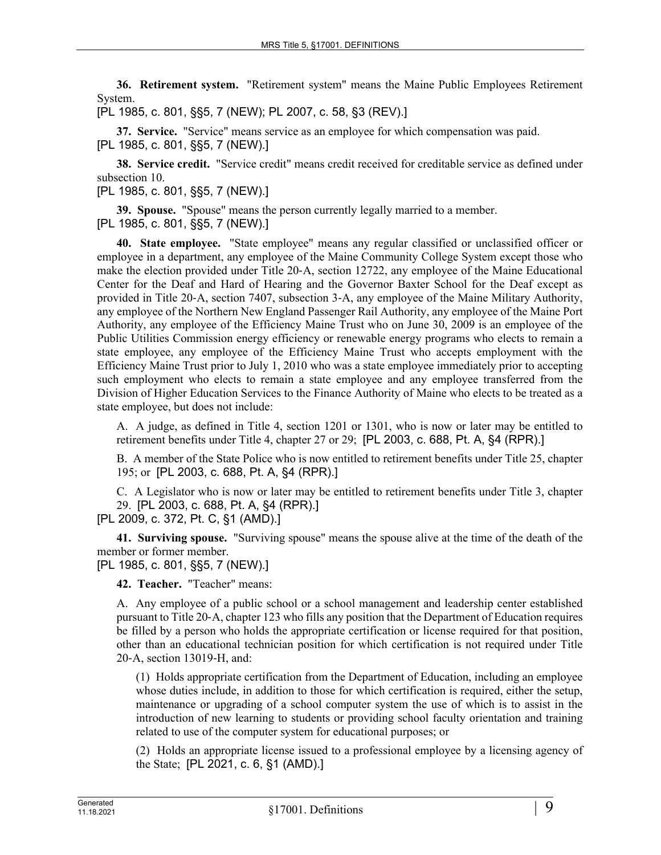**36. Retirement system.** "Retirement system" means the Maine Public Employees Retirement System.

[PL 1985, c. 801, §§5, 7 (NEW); PL 2007, c. 58, §3 (REV).]

**37. Service.** "Service" means service as an employee for which compensation was paid. [PL 1985, c. 801, §§5, 7 (NEW).]

**38. Service credit.** "Service credit" means credit received for creditable service as defined under subsection 10.

[PL 1985, c. 801, §§5, 7 (NEW).]

**39. Spouse.** "Spouse" means the person currently legally married to a member. [PL 1985, c. 801, §§5, 7 (NEW).]

**40. State employee.** "State employee" means any regular classified or unclassified officer or employee in a department, any employee of the Maine Community College System except those who make the election provided under Title 20‑A, section 12722, any employee of the Maine Educational Center for the Deaf and Hard of Hearing and the Governor Baxter School for the Deaf except as provided in Title 20‑A, section 7407, subsection 3‑A, any employee of the Maine Military Authority, any employee of the Northern New England Passenger Rail Authority, any employee of the Maine Port Authority, any employee of the Efficiency Maine Trust who on June 30, 2009 is an employee of the Public Utilities Commission energy efficiency or renewable energy programs who elects to remain a state employee, any employee of the Efficiency Maine Trust who accepts employment with the Efficiency Maine Trust prior to July 1, 2010 who was a state employee immediately prior to accepting such employment who elects to remain a state employee and any employee transferred from the Division of Higher Education Services to the Finance Authority of Maine who elects to be treated as a state employee, but does not include:

A. A judge, as defined in Title 4, section 1201 or 1301, who is now or later may be entitled to retirement benefits under Title 4, chapter 27 or 29; [PL 2003, c. 688, Pt. A, §4 (RPR).]

B. A member of the State Police who is now entitled to retirement benefits under Title 25, chapter 195; or [PL 2003, c. 688, Pt. A, §4 (RPR).]

C. A Legislator who is now or later may be entitled to retirement benefits under Title 3, chapter 29. [PL 2003, c. 688, Pt. A, §4 (RPR).]

[PL 2009, c. 372, Pt. C, §1 (AMD).]

**41. Surviving spouse.** "Surviving spouse" means the spouse alive at the time of the death of the member or former member.

[PL 1985, c. 801, §§5, 7 (NEW).]

**42. Teacher.** "Teacher" means:

A. Any employee of a public school or a school management and leadership center established pursuant to Title 20‑A, chapter 123 who fills any position that the Department of Education requires be filled by a person who holds the appropriate certification or license required for that position, other than an educational technician position for which certification is not required under Title 20‑A, section 13019‑H, and:

(1) Holds appropriate certification from the Department of Education, including an employee whose duties include, in addition to those for which certification is required, either the setup, maintenance or upgrading of a school computer system the use of which is to assist in the introduction of new learning to students or providing school faculty orientation and training related to use of the computer system for educational purposes; or

(2) Holds an appropriate license issued to a professional employee by a licensing agency of the State; [PL 2021, c. 6, §1 (AMD).]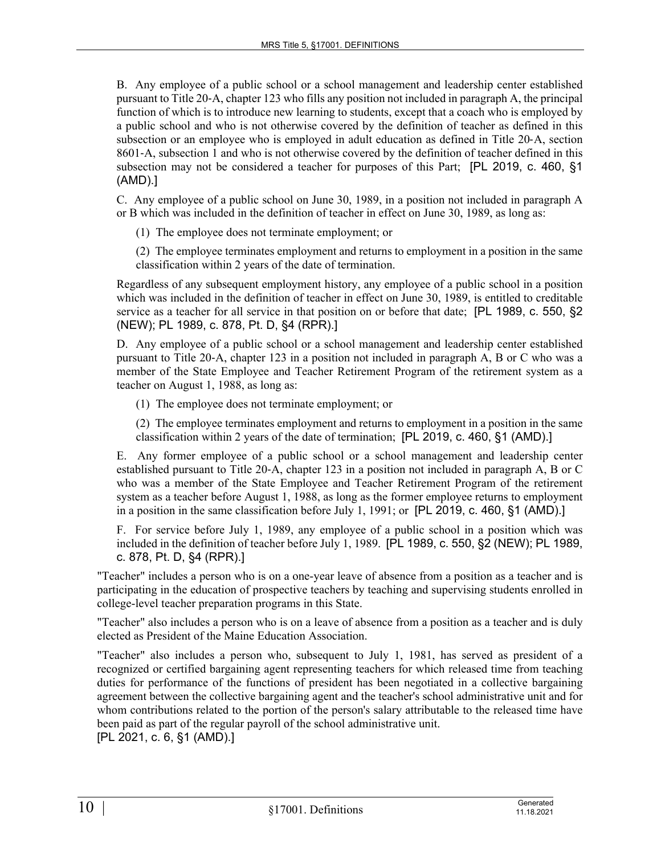B. Any employee of a public school or a school management and leadership center established pursuant to Title 20‑A, chapter 123 who fills any position not included in paragraph A, the principal function of which is to introduce new learning to students, except that a coach who is employed by a public school and who is not otherwise covered by the definition of teacher as defined in this subsection or an employee who is employed in adult education as defined in Title 20-A, section 8601‑A, subsection 1 and who is not otherwise covered by the definition of teacher defined in this subsection may not be considered a teacher for purposes of this Part; [PL 2019, c. 460, §1 (AMD).]

C. Any employee of a public school on June 30, 1989, in a position not included in paragraph A or B which was included in the definition of teacher in effect on June 30, 1989, as long as:

(1) The employee does not terminate employment; or

(2) The employee terminates employment and returns to employment in a position in the same classification within 2 years of the date of termination.

Regardless of any subsequent employment history, any employee of a public school in a position which was included in the definition of teacher in effect on June 30, 1989, is entitled to creditable service as a teacher for all service in that position on or before that date; [PL 1989, c. 550, §2 (NEW); PL 1989, c. 878, Pt. D, §4 (RPR).]

D. Any employee of a public school or a school management and leadership center established pursuant to Title 20‑A, chapter 123 in a position not included in paragraph A, B or C who was a member of the State Employee and Teacher Retirement Program of the retirement system as a teacher on August 1, 1988, as long as:

(1) The employee does not terminate employment; or

(2) The employee terminates employment and returns to employment in a position in the same classification within 2 years of the date of termination; [PL 2019, c. 460, §1 (AMD).]

E. Any former employee of a public school or a school management and leadership center established pursuant to Title 20‑A, chapter 123 in a position not included in paragraph A, B or C who was a member of the State Employee and Teacher Retirement Program of the retirement system as a teacher before August 1, 1988, as long as the former employee returns to employment in a position in the same classification before July 1, 1991; or [PL 2019, c. 460, §1 (AMD).]

F. For service before July 1, 1989, any employee of a public school in a position which was included in the definition of teacher before July 1, 1989. [PL 1989, c. 550, §2 (NEW); PL 1989, c. 878, Pt. D, §4 (RPR).]

"Teacher" includes a person who is on a one-year leave of absence from a position as a teacher and is participating in the education of prospective teachers by teaching and supervising students enrolled in college-level teacher preparation programs in this State.

"Teacher" also includes a person who is on a leave of absence from a position as a teacher and is duly elected as President of the Maine Education Association.

"Teacher" also includes a person who, subsequent to July 1, 1981, has served as president of a recognized or certified bargaining agent representing teachers for which released time from teaching duties for performance of the functions of president has been negotiated in a collective bargaining agreement between the collective bargaining agent and the teacher's school administrative unit and for whom contributions related to the portion of the person's salary attributable to the released time have been paid as part of the regular payroll of the school administrative unit.

[PL 2021, c. 6, §1 (AMD).]